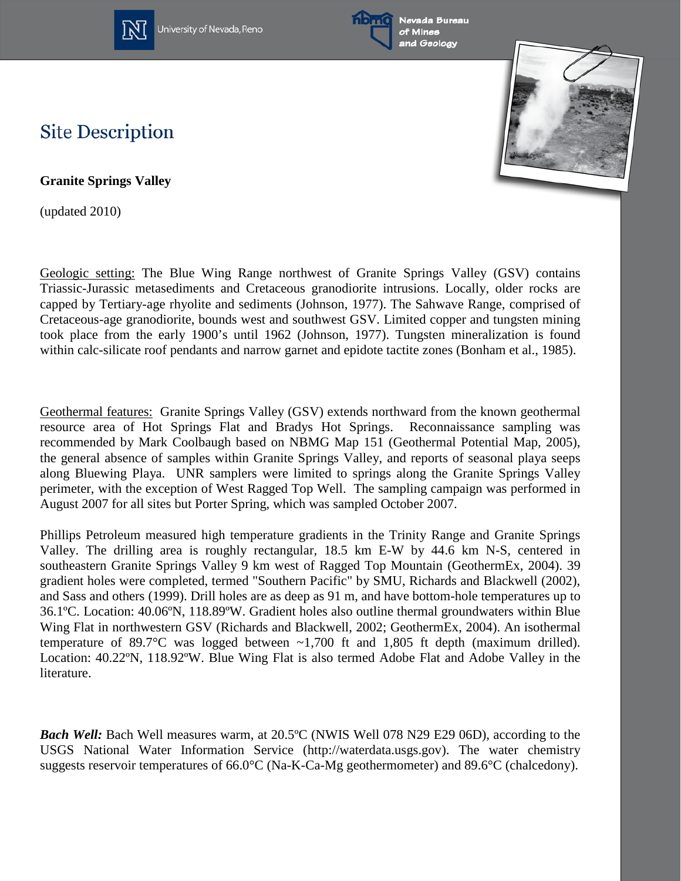

University of Nevada, Reno





## **Site Description**

**Granite Springs Valley**

(updated 2010)

Geologic setting: The Blue Wing Range northwest of Granite Springs Valley (GSV) contains Triassic-Jurassic metasediments and Cretaceous granodiorite intrusions. Locally, older rocks are capped by Tertiary-age rhyolite and sediments (Johnson, 1977). The Sahwave Range, comprised of Cretaceous-age granodiorite, bounds west and southwest GSV. Limited copper and tungsten mining took place from the early 1900's until 1962 (Johnson, 1977). Tungsten mineralization is found within calc-silicate roof pendants and narrow garnet and epidote tactite zones (Bonham et al., 1985).

Geothermal features: Granite Springs Valley (GSV) extends northward from the known geothermal resource area of Hot Springs Flat and Bradys Hot Springs. Reconnaissance sampling was recommended by Mark Coolbaugh based on NBMG Map 151 (Geothermal Potential Map, 2005), the general absence of samples within Granite Springs Valley, and reports of seasonal playa seeps along Bluewing Playa. UNR samplers were limited to springs along the Granite Springs Valley perimeter, with the exception of West Ragged Top Well. The sampling campaign was performed in August 2007 for all sites but Porter Spring, which was sampled October 2007.

Phillips Petroleum measured high temperature gradients in the Trinity Range and Granite Springs Valley. The drilling area is roughly rectangular, 18.5 km E-W by 44.6 km N-S, centered in southeastern Granite Springs Valley 9 km west of Ragged Top Mountain (GeothermEx, 2004). 39 gradient holes were completed, termed "Southern Pacific" by SMU, Richards and Blackwell (2002), and Sass and others (1999). Drill holes are as deep as 91 m, and have bottom-hole temperatures up to 36.1ºC. Location: 40.06ºN, 118.89ºW. Gradient holes also outline thermal groundwaters within Blue Wing Flat in northwestern GSV (Richards and Blackwell, 2002; GeothermEx, 2004). An isothermal temperature of 89.7 $\degree$ C was logged between  $\sim$ 1,700 ft and 1,805 ft depth (maximum drilled). Location: 40.22ºN, 118.92ºW. Blue Wing Flat is also termed Adobe Flat and Adobe Valley in the literature.

*Bach Well:* Bach Well measures warm, at 20.5<sup>o</sup>C (NWIS Well 078 N29 E29 06D), according to the USGS National Water Information Service (http://waterdata.usgs.gov). The water chemistry suggests reservoir temperatures of 66.0°C (Na-K-Ca-Mg geothermometer) and 89.6°C (chalcedony).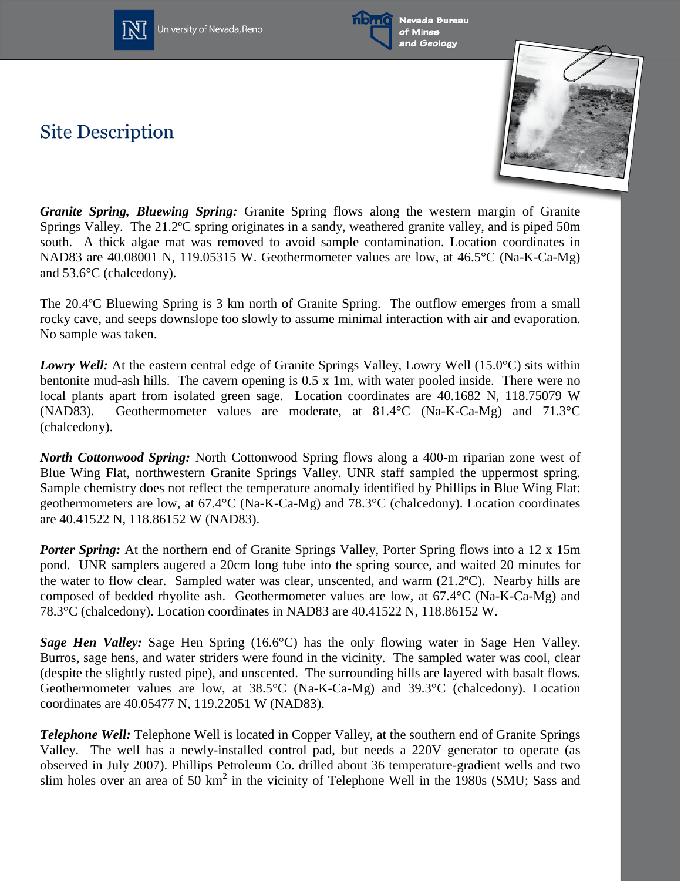

Jniversity of Nevada, Reno



**Site Description** 



*Granite Spring, Bluewing Spring:* Granite Spring flows along the western margin of Granite Springs Valley. The 21.2ºC spring originates in a sandy, weathered granite valley, and is piped 50m south. A thick algae mat was removed to avoid sample contamination. Location coordinates in NAD83 are 40.08001 N, 119.05315 W. Geothermometer values are low, at 46.5°C (Na-K-Ca-Mg) and 53.6°C (chalcedony).

The 20.4ºC Bluewing Spring is 3 km north of Granite Spring. The outflow emerges from a small rocky cave, and seeps downslope too slowly to assume minimal interaction with air and evaporation. No sample was taken.

*Lowry Well:* At the eastern central edge of Granite Springs Valley, Lowry Well (15.0°C) sits within bentonite mud-ash hills. The cavern opening is 0.5 x 1m, with water pooled inside. There were no local plants apart from isolated green sage. Location coordinates are 40.1682 N, 118.75079 W (NAD83). Geothermometer values are moderate, at 81.4°C (Na-K-Ca-Mg) and 71.3°C (chalcedony).

*North Cottonwood Spring:* North Cottonwood Spring flows along a 400-m riparian zone west of Blue Wing Flat, northwestern Granite Springs Valley. UNR staff sampled the uppermost spring. Sample chemistry does not reflect the temperature anomaly identified by Phillips in Blue Wing Flat: geothermometers are low, at 67.4°C (Na-K-Ca-Mg) and 78.3°C (chalcedony). Location coordinates are 40.41522 N, 118.86152 W (NAD83).

**Porter Spring:** At the northern end of Granite Springs Valley, Porter Spring flows into a 12 x 15m pond. UNR samplers augered a 20cm long tube into the spring source, and waited 20 minutes for the water to flow clear. Sampled water was clear, unscented, and warm (21.2ºC). Nearby hills are composed of bedded rhyolite ash. Geothermometer values are low, at 67.4°C (Na-K-Ca-Mg) and 78.3°C (chalcedony). Location coordinates in NAD83 are 40.41522 N, 118.86152 W.

*Sage Hen Valley:* Sage Hen Spring (16.6°C) has the only flowing water in Sage Hen Valley. Burros, sage hens, and water striders were found in the vicinity. The sampled water was cool, clear (despite the slightly rusted pipe), and unscented. The surrounding hills are layered with basalt flows. Geothermometer values are low, at 38.5°C (Na-K-Ca-Mg) and 39.3°C (chalcedony). Location coordinates are 40.05477 N, 119.22051 W (NAD83).

*Telephone Well:* Telephone Well is located in Copper Valley, at the southern end of Granite Springs Valley. The well has a newly-installed control pad, but needs a 220V generator to operate (as observed in July 2007). Phillips Petroleum Co. drilled about 36 temperature-gradient wells and two slim holes over an area of  $50 \text{ km}^2$  in the vicinity of Telephone Well in the 1980s (SMU; Sass and